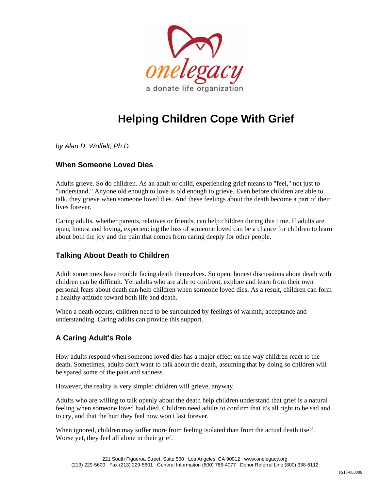

# **Helping Children Cope With Grief**

*by Alan D. Wolfelt, Ph.D.* 

## **When Someone Loved Dies**

Adults grieve. So do children. As an adult or child, experiencing grief means to "feel," not just to "understand." Anyone old enough to love is old enough to grieve. Even before children are able to talk, they grieve when someone loved dies. And these feelings about the death become a part of their lives forever.

Caring adults, whether parents, relatives or friends, can help children during this time. If adults are open, honest and loving, experiencing the loss of someone loved can be a chance for children to learn about both the joy and the pain that comes from caring deeply for other people.

## **Talking About Death to Children**

Adult sometimes have trouble facing death themselves. So open, honest discussions about death with children can be difficult. Yet adults who are able to confront, explore and learn from their own personal fears about death can help children when someone loved dies. As a result, children can form a healthy attitude toward both life and death.

When a death occurs, children need to be surrounded by feelings of warmth, acceptance and understanding. Caring adults can provide this support.

# **A Caring Adult's Role**

How adults respond when someone loved dies has a major effect on the way children react to the death. Sometimes, adults don't want to talk about the death, assuming that by doing so children will be spared some of the pain and sadness.

However, the reality is very simple: children will grieve, anyway.

Adults who are willing to talk openly about the death help children understand that grief is a natural feeling when someone loved had died. Children need adults to confirm that it's all right to be sad and to cry, and that the hurt they feel now won't last forever.

When ignored, children may suffer more from feeling isolated than from the actual death itself. Worse yet, they feel all alone in their grief.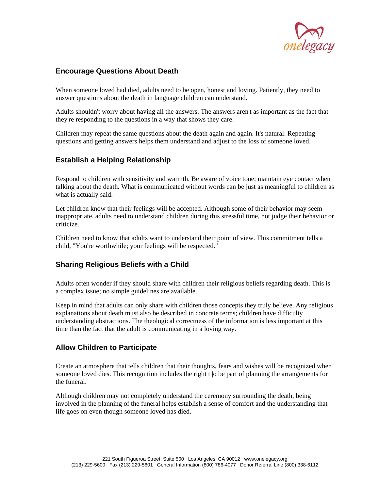

## **Encourage Questions About Death**

When someone loved had died, adults need to be open, honest and loving. Patiently, they need to answer questions about the death in language children can understand.

Adults shouldn't worry about having all the answers. The answers aren't as important as the fact that they're responding to the questions in a way that shows they care.

Children may repeat the same questions about the death again and again. It's natural. Repeating questions and getting answers helps them understand and adjust to the loss of someone loved.

## **Establish a Helping Relationship**

Respond to children with sensitivity and warmth. Be aware of voice tone; maintain eye contact when talking about the death. What is communicated without words can be just as meaningful to children as what is actually said.

Let children know that their feelings will be accepted. Although some of their behavior may seem inappropriate, adults need to understand children during this stressful time, not judge their behavior or criticize.

Children need to know that adults want to understand their point of view. This commitment tells a child, "You're worthwhile; your feelings will be respected."

#### **Sharing Religious Beliefs with a Child**

Adults often wonder if they should share with children their religious beliefs regarding death. This is a complex issue; no simple guidelines are available.

Keep in mind that adults can only share with children those concepts they truly believe. Any religious explanations about death must also be described in concrete terms; children have difficulty understanding abstractions. The theological correctness of the information is less important at this time than the fact that the adult is communicating in a loving way.

#### **Allow Children to Participate**

Create an atmosphere that tells children that their thoughts, fears and wishes will be recognized when someone loved dies. This recognition includes the right t |o be part of planning the arrangements for the funeral.

Although children may not completely understand the ceremony surrounding the death, being involved in the planning of the funeral helps establish a sense of comfort and the understanding that life goes on even though someone loved has died.